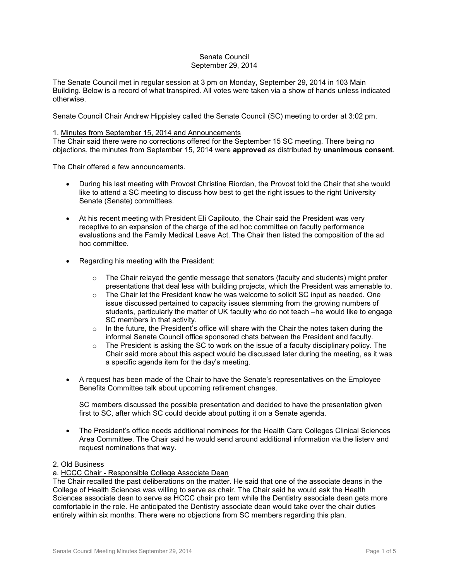### Senate Council September 29, 2014

The Senate Council met in regular session at 3 pm on Monday, September 29, 2014 in 103 Main Building. Below is a record of what transpired. All votes were taken via a show of hands unless indicated otherwise.

Senate Council Chair Andrew Hippisley called the Senate Council (SC) meeting to order at 3:02 pm.

### 1. Minutes from September 15, 2014 and Announcements

The Chair said there were no corrections offered for the September 15 SC meeting. There being no objections, the minutes from September 15, 2014 were **approved** as distributed by **unanimous consent**.

The Chair offered a few announcements.

- During his last meeting with Provost Christine Riordan, the Provost told the Chair that she would like to attend a SC meeting to discuss how best to get the right issues to the right University Senate (Senate) committees.
- At his recent meeting with President Eli Capilouto, the Chair said the President was very receptive to an expansion of the charge of the ad hoc committee on faculty performance evaluations and the Family Medical Leave Act. The Chair then listed the composition of the ad hoc committee.
- Regarding his meeting with the President:
	- $\circ$  The Chair relayed the gentle message that senators (faculty and students) might prefer presentations that deal less with building projects, which the President was amenable to.
	- $\circ$  The Chair let the President know he was welcome to solicit SC input as needed. One issue discussed pertained to capacity issues stemming from the growing numbers of students, particularly the matter of UK faculty who do not teach –he would like to engage SC members in that activity.
	- $\circ$  In the future, the President's office will share with the Chair the notes taken during the informal Senate Council office sponsored chats between the President and faculty.
	- $\circ$  The President is asking the SC to work on the issue of a faculty disciplinary policy. The Chair said more about this aspect would be discussed later during the meeting, as it was a specific agenda item for the day's meeting.
- A request has been made of the Chair to have the Senate's representatives on the Employee Benefits Committee talk about upcoming retirement changes.

SC members discussed the possible presentation and decided to have the presentation given first to SC, after which SC could decide about putting it on a Senate agenda.

 The President's office needs additional nominees for the Health Care Colleges Clinical Sciences Area Committee. The Chair said he would send around additional information via the listerv and request nominations that way.

#### 2. Old Business

a. HCCC Chair - Responsible College Associate Dean

The Chair recalled the past deliberations on the matter. He said that one of the associate deans in the College of Health Sciences was willing to serve as chair. The Chair said he would ask the Health Sciences associate dean to serve as HCCC chair pro tem while the Dentistry associate dean gets more comfortable in the role. He anticipated the Dentistry associate dean would take over the chair duties entirely within six months. There were no objections from SC members regarding this plan.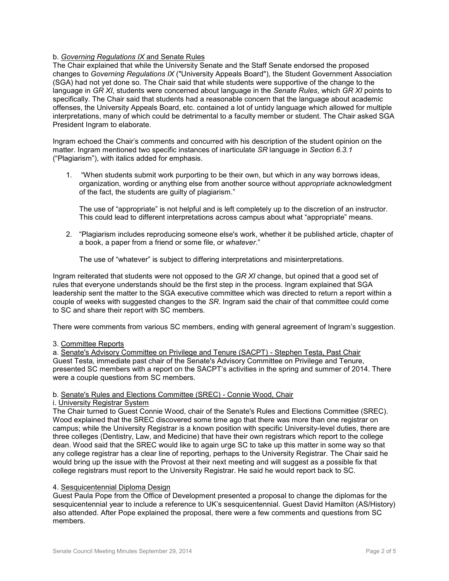## b. *Governing Regulations IX* and Senate Rules

The Chair explained that while the University Senate and the Staff Senate endorsed the proposed changes to *Governing Regulations IX* ("University Appeals Board"), the Student Government Association (SGA) had not yet done so. The Chair said that while students were supportive of the change to the language in *GR XI*, students were concerned about language in the *Senate Rules*, which *GR XI* points to specifically. The Chair said that students had a reasonable concern that the language about academic offenses, the University Appeals Board, etc. contained a lot of untidy language which allowed for multiple interpretations, many of which could be detrimental to a faculty member or student. The Chair asked SGA President Ingram to elaborate.

Ingram echoed the Chair's comments and concurred with his description of the student opinion on the matter. Ingram mentioned two specific instances of inarticulate *SR* language in *Section 6.3.1* ("Plagiarism"), with italics added for emphasis.

1. "When students submit work purporting to be their own, but which in any way borrows ideas, organization, wording or anything else from another source without *appropriate* acknowledgment of the fact, the students are guilty of plagiarism."

The use of "appropriate" is not helpful and is left completely up to the discretion of an instructor. This could lead to different interpretations across campus about what "appropriate" means.

2. "Plagiarism includes reproducing someone else's work, whether it be published article, chapter of a book, a paper from a friend or some file, or *whatever*."

The use of "whatever" is subject to differing interpretations and misinterpretations.

Ingram reiterated that students were not opposed to the *GR XI* change, but opined that a good set of rules that everyone understands should be the first step in the process. Ingram explained that SGA leadership sent the matter to the SGA executive committee which was directed to return a report within a couple of weeks with suggested changes to the *SR*. Ingram said the chair of that committee could come to SC and share their report with SC members.

There were comments from various SC members, ending with general agreement of Ingram's suggestion.

#### 3. Committee Reports

a. Senate's Advisory Committee on Privilege and Tenure (SACPT) - Stephen Testa, Past Chair Guest Testa, immediate past chair of the Senate's Advisory Committee on Privilege and Tenure, presented SC members with a report on the SACPT's activities in the spring and summer of 2014. There were a couple questions from SC members.

# b. Senate's Rules and Elections Committee (SREC) - Connie Wood, Chair

#### i. University Registrar System

The Chair turned to Guest Connie Wood, chair of the Senate's Rules and Elections Committee (SREC). Wood explained that the SREC discovered some time ago that there was more than one registrar on campus; while the University Registrar is a known position with specific University-level duties, there are three colleges (Dentistry, Law, and Medicine) that have their own registrars which report to the college dean. Wood said that the SREC would like to again urge SC to take up this matter in some way so that any college registrar has a clear line of reporting, perhaps to the University Registrar. The Chair said he would bring up the issue with the Provost at their next meeting and will suggest as a possible fix that college registrars must report to the University Registrar. He said he would report back to SC.

#### 4. Sesquicentennial Diploma Design

Guest Paula Pope from the Office of Development presented a proposal to change the diplomas for the sesquicentennial year to include a reference to UK's sesquicentennial. Guest David Hamilton (AS/History) also attended. After Pope explained the proposal, there were a few comments and questions from SC members.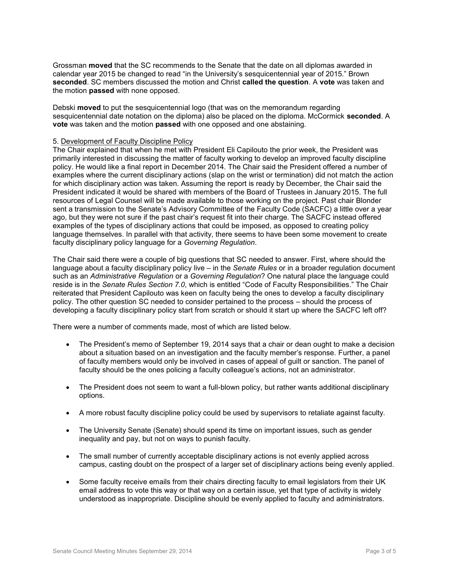Grossman **moved** that the SC recommends to the Senate that the date on all diplomas awarded in calendar year 2015 be changed to read "in the University's sesquicentennial year of 2015." Brown **seconded**. SC members discussed the motion and Christ **called the question**. A **vote** was taken and the motion **passed** with none opposed.

Debski **moved** to put the sesquicentennial logo (that was on the memorandum regarding sesquicentennial date notation on the diploma) also be placed on the diploma. McCormick **seconded**. A **vote** was taken and the motion **passed** with one opposed and one abstaining.

#### 5. Development of Faculty Discipline Policy

The Chair explained that when he met with President Eli Capilouto the prior week, the President was primarily interested in discussing the matter of faculty working to develop an improved faculty discipline policy. He would like a final report in December 2014. The Chair said the President offered a number of examples where the current disciplinary actions (slap on the wrist or termination) did not match the action for which disciplinary action was taken. Assuming the report is ready by December, the Chair said the President indicated it would be shared with members of the Board of Trustees in January 2015. The full resources of Legal Counsel will be made available to those working on the project. Past chair Blonder sent a transmission to the Senate's Advisory Committee of the Faculty Code (SACFC) a little over a year ago, but they were not sure if the past chair's request fit into their charge. The SACFC instead offered examples of the types of disciplinary actions that could be imposed, as opposed to creating policy language themselves. In parallel with that activity, there seems to have been some movement to create faculty disciplinary policy language for a *Governing Regulation*.

The Chair said there were a couple of big questions that SC needed to answer. First, where should the language about a faculty disciplinary policy live – in the *Senate Rules* or in a broader regulation document such as an *Administrative Regulation* or a *Governing Regulation*? One natural place the language could reside is in the *Senate Rules Section 7.0*, which is entitled "Code of Faculty Responsibilities." The Chair reiterated that President Capilouto was keen on faculty being the ones to develop a faculty disciplinary policy. The other question SC needed to consider pertained to the process – should the process of developing a faculty disciplinary policy start from scratch or should it start up where the SACFC left off?

There were a number of comments made, most of which are listed below.

- The President's memo of September 19, 2014 says that a chair or dean ought to make a decision about a situation based on an investigation and the faculty member's response. Further, a panel of faculty members would only be involved in cases of appeal of guilt or sanction. The panel of faculty should be the ones policing a faculty colleague's actions, not an administrator.
- The President does not seem to want a full-blown policy, but rather wants additional disciplinary options.
- A more robust faculty discipline policy could be used by supervisors to retaliate against faculty.
- The University Senate (Senate) should spend its time on important issues, such as gender inequality and pay, but not on ways to punish faculty.
- The small number of currently acceptable disciplinary actions is not evenly applied across campus, casting doubt on the prospect of a larger set of disciplinary actions being evenly applied.
- Some faculty receive emails from their chairs directing faculty to email legislators from their UK email address to vote this way or that way on a certain issue, yet that type of activity is widely understood as inappropriate. Discipline should be evenly applied to faculty and administrators.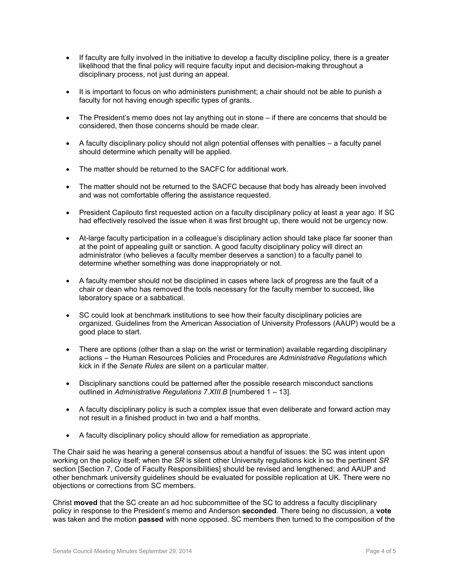- If faculty are fully involved in the initiative to develop a faculty discipline policy, there is a greater likelihood that the final policy will require faculty input and decision-making throughout a disciplinary process, not just during an appeal.
- It is important to focus on who administers punishment; a chair should not be able to punish a faculty for not having enough specific types of grants.
- The President's memo does not lay anything out in stone if there are concerns that should be considered, then those concerns should be made clear.
- $\bullet$  A faculty disciplinary policy should not align potential offenses with penalties  $-$  a faculty panel should determine which penalty will be applied.
- The matter should be returned to the SACFC for additional work.
- The matter should not be returned to the SACFC because that body has already been involved and was not comfortable offering the assistance requested.
- President Capilouto first requested action on a faculty disciplinary policy at least a year ago. If SC had effectively resolved the issue when it was first brought up, there would not be urgency now.
- At-large faculty participation in a colleague's disciplinary action should take place far sooner than at the point of appealing guilt or sanction. A good faculty disciplinary policy will direct an administrator (who believes a faculty member deserves a sanction) to a faculty panel to determine whether something was done inappropriately or not.
- A faculty member should not be disciplined in cases where lack of progress are the fault of a chair or dean who has removed the tools necessary for the faculty member to succeed, like laboratory space or a sabbatical.
- SC could look at benchmark institutions to see how their faculty disciplinary policies are organized. Guidelines from the American Association of University Professors (AAUP) would be a good place to start.
- There are options (other than a slap on the wrist or termination) available regarding disciplinary actions – the Human Resources Policies and Procedures are *Administrative Regulations* which kick in if the *Senate Rules* are silent on a particular matter.
- Disciplinary sanctions could be patterned after the possible research misconduct sanctions outlined in *Administrative Regulations 7.XIII.B* [numbered 1 – 13].
- A faculty disciplinary policy is such a complex issue that even deliberate and forward action may not result in a finished product in two and a half months.
- A faculty disciplinary policy should allow for remediation as appropriate.

The Chair said he was hearing a general consensus about a handful of issues: the SC was intent upon working on the policy itself; when the *SR* is silent other University regulations kick in so the pertinent *SR* section [Section 7, Code of Faculty Responsibilities] should be revised and lengthened; and AAUP and other benchmark university guidelines should be evaluated for possible replication at UK. There were no objections or corrections from SC members.

Christ **moved** that the SC create an ad hoc subcommittee of the SC to address a faculty disciplinary policy in response to the President's memo and Anderson **seconded**. There being no discussion, a **vote** was taken and the motion **passed** with none opposed. SC members then turned to the composition of the